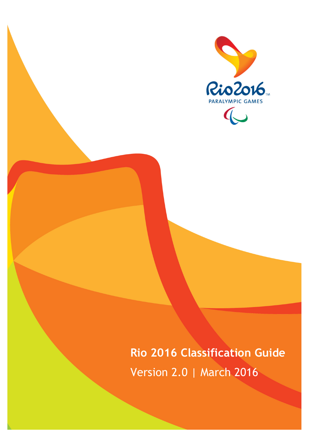

**Rio 2016 Classification Guide** Version 2.0 | March 2016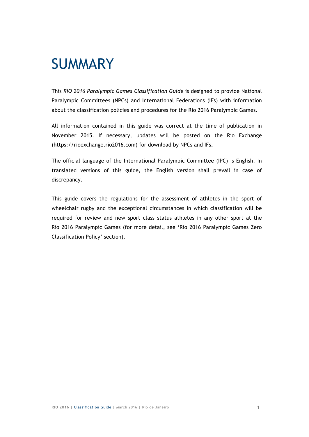### SUMMARY

This *RIO 2016 Paralympic Games Classification Guide* is designed to provide National Paralympic Committees (NPCs) and International Federations (IFs) with information about the classification policies and procedures for the Rio 2016 Paralympic Games.

All information contained in this guide was correct at the time of publication in November 2015. If necessary, updates will be posted on the Rio Exchange (https://rioexchange.rio2016.com) for download by NPCs and IFs**.** 

The official language of the International Paralympic Committee (IPC) is English. In translated versions of this guide, the English version shall prevail in case of discrepancy.

This guide covers the regulations for the assessment of athletes in the sport of wheelchair rugby and the exceptional circumstances in which classification will be required for review and new sport class status athletes in any other sport at the Rio 2016 Paralympic Games (for more detail, see 'Rio 2016 Paralympic Games Zero Classification Policy' section).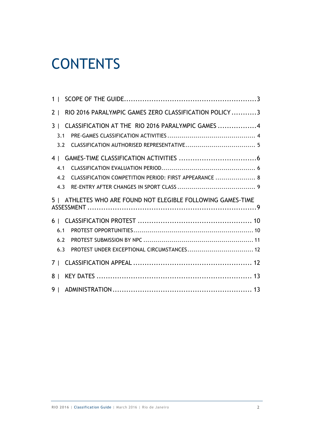# **CONTENTS**

| 1 <sup>1</sup>                                                          |  |
|-------------------------------------------------------------------------|--|
| RIO 2016 PARALYMPIC GAMES ZERO CLASSIFICATION POLICY3<br>2 <sub>1</sub> |  |
| 3   CLASSIFICATION AT THE RIO 2016 PARALYMPIC GAMES 4                   |  |
| 3.1                                                                     |  |
| 3.2                                                                     |  |
|                                                                         |  |
| 4.1                                                                     |  |
| CLASSIFICATION COMPETITION PERIOD: FIRST APPEARANCE  8<br>4.2           |  |
| 4.3                                                                     |  |
|                                                                         |  |
| 5   ATHLETES WHO ARE FOUND NOT ELEGIBLE FOLLOWING GAMES-TIME            |  |
|                                                                         |  |
| 6.1                                                                     |  |
| 6.2                                                                     |  |
| 6.3                                                                     |  |
|                                                                         |  |
| 8 <sup>1</sup>                                                          |  |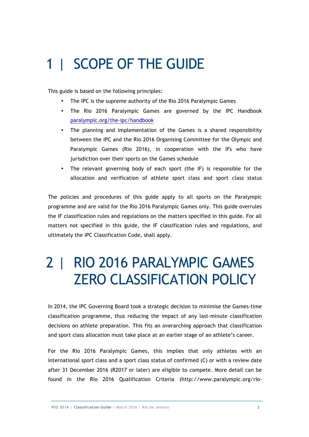# 1 | SCOPE OF THE GUIDE

This guide is based on the following principles:

- The IPC is the supreme authority of the Rio 2016 Paralympic Games
- The Rio 2016 Paralympic Games are governed by the IPC Handbook paralympic.org/the-ipc/handbook
- The planning and implementation of the Games is a shared responsibility between the IPC and the Rio 2016 Organising Committee for the Olympic and Paralympic Games (Rio 2016), in cooperation with the IFs who have jurisdiction over their sports on the Games schedule
- The relevant governing body of each sport (the IF) is responsible for the allocation and verification of athlete sport class and sport class status

The policies and procedures of this guide apply to all sports on the Paralympic programme and are valid for the Rio 2016 Paralympic Games only. This guide overrules the IF classification rules and regulations on the matters specified in this guide. For all matters not specified in this guide, the IF classification rules and regulations, and ultimately the IPC Classification Code, shall apply.

### 2 | RIO 2016 PARALYMPIC GAMES ZERO CLASSIFICATION POLICY

In 2014, the IPC Governing Board took a strategic decision to minimise the Games-time classification programme, thus reducing the impact of any last-minute classification decisions on athlete preparation. This fits an overarching approach that classification and sport class allocation must take place at an earlier stage of an athlete's career.

For the Rio 2016 Paralympic Games, this implies that only athletes with an international sport class and a sport class status of confirmed (C) or with a review date after 31 December 2016 (R2017 or later) are eligible to compete. More detail can be found in the Rio 2016 Qualification Criteria (http://www.paralympic.org/rio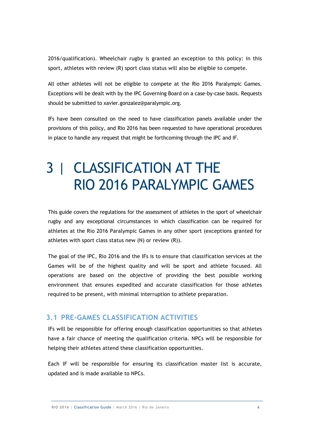2016/qualification). Wheelchair rugby is granted an exception to this policy: in this sport, athletes with review (R) sport class status will also be eligible to compete.

All other athletes will not be eligible to compete at the Rio 2016 Paralympic Games. Exceptions will be dealt with by the IPC Governing Board on a case-by-case basis. Requests should be submitted to xavier.gonzalez@paralympic.org.

IFs have been consulted on the need to have classification panels available under the provisions of this policy, and Rio 2016 has been requested to have operational procedures in place to handle any request that might be forthcoming through the IPC and IF.

# 3 | CLASSIFICATION AT THE RIO 2016 PARALYMPIC GAMES

This guide covers the regulations for the assessment of athletes in the sport of wheelchair rugby and any exceptional circumstances in which classification can be required for athletes at the Rio 2016 Paralympic Games in any other sport (exceptions granted for athletes with sport class status new (N) or review (R)).

The goal of the IPC, Rio 2016 and the IFs is to ensure that classification services at the Games will be of the highest quality and will be sport and athlete focused. All operations are based on the objective of providing the best possible working environment that ensures expedited and accurate classification for those athletes required to be present, with minimal interruption to athlete preparation.

### **3.1 PRE-GAMES CLASSIFICATION ACTIVITIES**

IFs will be responsible for offering enough classification opportunities so that athletes have a fair chance of meeting the qualification criteria. NPCs will be responsible for helping their athletes attend these classification opportunities.

Each IF will be responsible for ensuring its classification master list is accurate, updated and is made available to NPCs.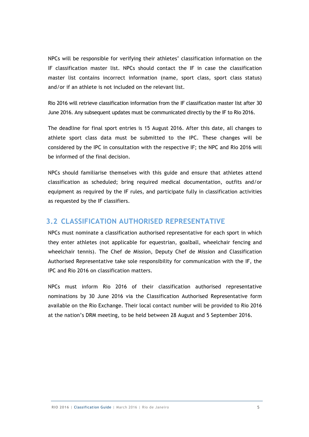NPCs will be responsible for verifying their athletes' classification information on the IF classification master list. NPCs should contact the IF in case the classification master list contains incorrect information (name, sport class, sport class status) and/or if an athlete is not included on the relevant list.

Rio 2016 will retrieve classification information from the IF classification master list after 30 June 2016. Any subsequent updates must be communicated directly by the IF to Rio 2016.

The deadline for final sport entries is 15 August 2016. After this date, all changes to athlete sport class data must be submitted to the IPC. These changes will be considered by the IPC in consultation with the respective IF; the NPC and Rio 2016 will be informed of the final decision.

NPCs should familiarise themselves with this guide and ensure that athletes attend classification as scheduled; bring required medical documentation, outfits and/or equipment as required by the IF rules, and participate fully in classification activities as requested by the IF classifiers.

#### **3.2 CLASSIFICATION AUTHORISED REPRESENTATIVE**

NPCs must nominate a classification authorised representative for each sport in which they enter athletes (not applicable for equestrian, goalball, wheelchair fencing and wheelchair tennis). The Chef de Mission, Deputy Chef de Mission and Classification Authorised Representative take sole responsibility for communication with the IF, the IPC and Rio 2016 on classification matters.

NPCs must inform Rio 2016 of their classification authorised representative nominations by 30 June 2016 via the Classification Authorised Representative form available on the Rio Exchange. Their local contact number will be provided to Rio 2016 at the nation's DRM meeting, to be held between 28 August and 5 September 2016.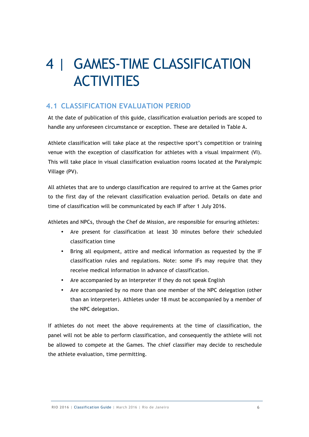# 4 | GAMES-TIME CLASSIFICATION **ACTIVITIES**

### **4.1 CLASSIFICATION EVALUATION PERIOD**

At the date of publication of this guide, classification evaluation periods are scoped to handle any unforeseen circumstance or exception. These are detailed in Table A.

Athlete classification will take place at the respective sport's competition or training venue with the exception of classification for athletes with a visual impairment (VI). This will take place in visual classification evaluation rooms located at the Paralympic Village (PV).

All athletes that are to undergo classification are required to arrive at the Games prior to the first day of the relevant classification evaluation period. Details on date and time of classification will be communicated by each IF after 1 July 2016.

Athletes and NPCs, through the Chef de Mission, are responsible for ensuring athletes:

- Are present for classification at least 30 minutes before their scheduled classification time
- Bring all equipment, attire and medical information as requested by the IF classification rules and regulations. Note: some IFs may require that they receive medical information in advance of classification.
- Are accompanied by an interpreter if they do not speak English
- Are accompanied by no more than one member of the NPC delegation (other than an interpreter). Athletes under 18 must be accompanied by a member of the NPC delegation.

If athletes do not meet the above requirements at the time of classification, the panel will not be able to perform classification, and consequently the athlete will not be allowed to compete at the Games. The chief classifier may decide to reschedule the athlete evaluation, time permitting.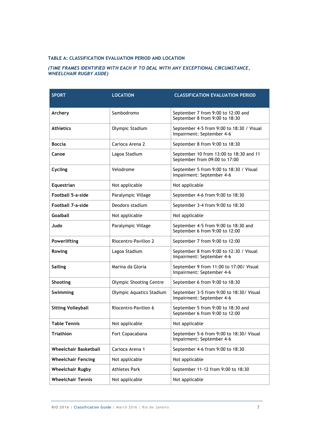#### **TABLE A: CLASSIFICATION EVALUATION PERIOD AND LOCATION**

#### *(TIME FRAMES IDENTIFIED WITH EACH IF TO DEAL WITH ANY EXCEPTIONAL CIRCUMSTANCE, WHEELCHAIR RUGBY ASIDE)*

| <b>SPORT</b>                 | <b>LOCATION</b>                | <b>CLASSIFICATION EVALUATION PERIOD</b>                                  |
|------------------------------|--------------------------------|--------------------------------------------------------------------------|
|                              |                                |                                                                          |
| Archery                      | Sambodromo                     | September 7 from 9:00 to 12:00 and<br>September 8 from 9:00 to 18:30     |
| <b>Athletics</b>             | Olympic Stadium                | September 4-5 from 9:00 to 18:30 / Visual<br>Impairment: September 4-6   |
| <b>Boccia</b>                | Carioca Arena 2                | September 8 from 9:00 to 18:30                                           |
| Canoe                        | Lagoa Stadium                  | September 10 from 13:00 to 18:30 and 11<br>September from 09:00 to 17:00 |
| Cycling                      | Velodrome                      | September 5 from 9:00 to 18:30 / Visual<br>Impairment: September 4-6     |
| Equestrian                   | Not applicable                 | Not applicable                                                           |
| <b>Football 5-a-side</b>     | Paralympic Village             | September 4-6 from 9:00 to 18:30                                         |
| <b>Football 7-a-side</b>     | Deodoro stadium                | September 3-4 from 9:00 to 18:30                                         |
| <b>Goalball</b>              | Not applicable                 | Not applicable                                                           |
| Judo                         | Paralympic Village             | September 4-5 from 9:00 to 18:30 and<br>September 6 from 9:00 to 12:00   |
| Powerlifting                 | Riocentro-Pavilion 2           | September 7 from 9:00 to 12:00                                           |
| Rowing                       | Lagoa Stadium                  | September 8 from 9:00 to 12:30 / Visual<br>Impairment: September 4-6     |
| <b>Sailing</b>               | Marina da Gloria               | September 9 from 11:00 to 17:00/ Visual<br>Impairment: September 4-6     |
| Shooting                     | <b>Olympic Shooting Centre</b> | September 6 from 9:00 to 18:30                                           |
| Swimming                     | Olympic Aquatics Stadium       | September 3-5 from 9:00 to 18:30/ Visual<br>Impairment: September 4-6    |
| <b>Sitting Volleyball</b>    | Riocentro-Pavilion 6           | September 5 from 9:00 to 18:30 and<br>September 6 from 9:00 to 12:00     |
| Table Tennis                 | Not applicable                 | Not applicable                                                           |
| <b>Triathlon</b>             | Fort Copacabana                | September 5-6 from 9:00 to 18:30/ Visual<br>Impairment: September 4-6    |
| <b>Wheelchair Basketball</b> | Carioca Arena 1                | September 4-6 from 9:00 to 18:30                                         |
| <b>Wheelchair Fencing</b>    | Not applicable                 | Not applicable                                                           |
| <b>Wheelchair Rugby</b>      | <b>Athletes Park</b>           | September 11-12 from 9:00 to 18:30                                       |
| <b>Wheelchair Tennis</b>     | Not applicable                 | Not applicable                                                           |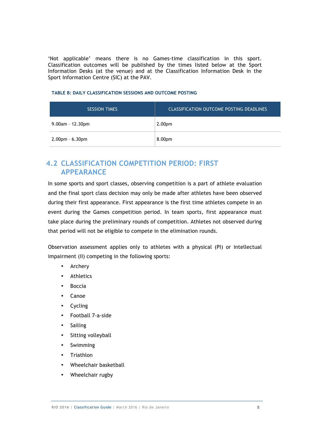'Not applicable' means there is no Games-time classification in this sport. Classification outcomes will be published by the times listed below at the Sport Information Desks (at the venue) and at the Classification Information Desk in the Sport Information Centre (SIC) at the PAV.

| <b>SESSION TIMES</b>  | <b>CLASSIFICATION OUTCOME POSTING DEADLINES</b> |
|-----------------------|-------------------------------------------------|
| $9.00am - 12.30pm$    | 2.00 <sub>pm</sub>                              |
| $2.00$ pm - $6.30$ pm | 8.00pm                                          |

#### **TABLE B: DAILY CLASSIFICATION SESSIONS AND OUTCOME POSTING**

### **4.2 CLASSIFICATION COMPETITION PERIOD: FIRST APPEARANCE**

In some sports and sport classes, observing competition is a part of athlete evaluation and the final sport class decision may only be made after athletes have been observed during their first appearance. First appearance is the first time athletes compete in an event during the Games competition period. In team sports, first appearance must take place during the preliminary rounds of competition. Athletes not observed during that period will not be eligible to compete in the elimination rounds.

Observation assessment applies only to athletes with a physical (PI) or intellectual impairment (II) competing in the following sports:

- Archery
- Athletics
- Boccia
- Canoe
- Cycling
- Football 7-a-side
- Sailing
- Sitting volleyball
- Swimming
- Triathlon
- Wheelchair basketball
- Wheelchair rugby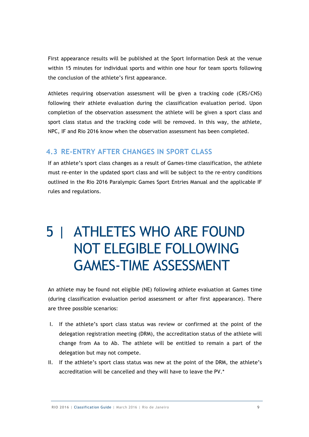First appearance results will be published at the Sport Information Desk at the venue within 15 minutes for individual sports and within one hour for team sports following the conclusion of the athlete's first appearance.

Athletes requiring observation assessment will be given a tracking code (CRS/CNS) following their athlete evaluation during the classification evaluation period. Upon completion of the observation assessment the athlete will be given a sport class and sport class status and the tracking code will be removed. In this way, the athlete, NPC, IF and Rio 2016 know when the observation assessment has been completed.

#### **4.3 RE-ENTRY AFTER CHANGES IN SPORT CLASS**

If an athlete's sport class changes as a result of Games-time classification, the athlete must re-enter in the updated sport class and will be subject to the re-entry conditions outlined in the Rio 2016 Paralympic Games Sport Entries Manual and the applicable IF rules and regulations.

# 5 | ATHLETES WHO ARE FOUND NOT ELEGIBLE FOLLOWING GAMES-TIME ASSESSMENT

An athlete may be found not eligible (NE) following athlete evaluation at Games time (during classification evaluation period assessment or after first appearance). There are three possible scenarios:

- I. If the athlete's sport class status was review or confirmed at the point of the delegation registration meeting (DRM), the accreditation status of the athlete will change from Aa to Ab. The athlete will be entitled to remain a part of the delegation but may not compete.
- II. If the athlete's sport class status was new at the point of the DRM, the athlete's accreditation will be cancelled and they will have to leave the PV.\*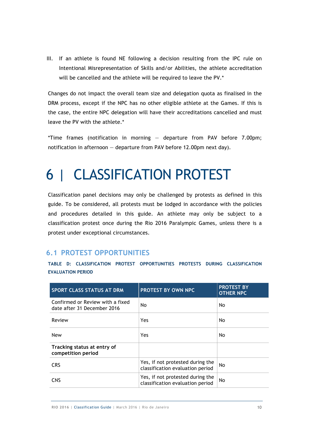III. If an athlete is found NE following a decision resulting from the IPC rule on Intentional Misrepresentation of Skills and/or Abilities, the athlete accreditation will be cancelled and the athlete will be required to leave the PV.\*

Changes do not impact the overall team size and delegation quota as finalised in the DRM process, except if the NPC has no other eligible athlete at the Games. If this is the case, the entire NPC delegation will have their accreditations cancelled and must leave the PV with the athlete.\*

\*Time frames (notification in morning — departure from PAV before 7.00pm; notification in afternoon — departure from PAV before 12.00pm next day).

# 6 | CLASSIFICATION PROTEST

Classification panel decisions may only be challenged by protests as defined in this guide. To be considered, all protests must be lodged in accordance with the policies and procedures detailed in this guide. An athlete may only be subject to a classification protest once during the Rio 2016 Paralympic Games, unless there is a protest under exceptional circumstances.

#### **6.1 PROTEST OPPORTUNITIES**

| <b>SPORT CLASS STATUS AT DRM</b>                                | <b>PROTEST BY OWN NPC</b>                                            | <b>PROTEST BY</b><br><b>OTHER NPC</b> |
|-----------------------------------------------------------------|----------------------------------------------------------------------|---------------------------------------|
| Confirmed or Review with a fixed<br>date after 31 December 2016 | No                                                                   | No                                    |
| Review                                                          | Yes                                                                  | No                                    |
| <b>New</b>                                                      | Yes                                                                  | No                                    |
| Tracking status at entry of<br>competition period               |                                                                      |                                       |
| <b>CRS</b>                                                      | Yes, if not protested during the<br>classification evaluation period | No.                                   |
| <b>CNS</b>                                                      | Yes, if not protested during the<br>classification evaluation period | No                                    |

**TABLE D: CLASSIFICATION PROTEST OPPORTUNITIES PROTESTS DURING CLASSIFICATION EVALUATION PERIOD**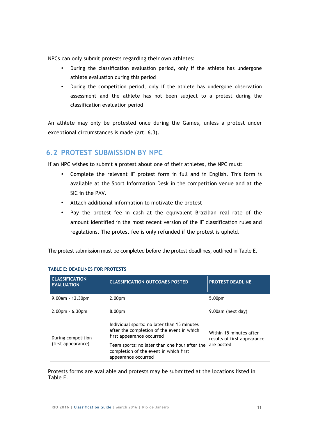NPCs can only submit protests regarding their own athletes:

- During the classification evaluation period, only if the athlete has undergone athlete evaluation during this period
- During the competition period, only if the athlete has undergone observation assessment and the athlete has not been subject to a protest during the classification evaluation period

An athlete may only be protested once during the Games, unless a protest under exceptional circumstances is made (art. 6.3).

### **6.2 PROTEST SUBMISSION BY NPC**

If an NPC wishes to submit a protest about one of their athletes, the NPC must:

- Complete the relevant IF protest form in full and in English. This form is available at the Sport Information Desk in the competition venue and at the SIC in the PAV.
- Attach additional information to motivate the protest
- Pay the protest fee in cash at the equivalent Brazilian real rate of the amount identified in the most recent version of the IF classification rules and regulations. The protest fee is only refunded if the protest is upheld.

The protest submission must be completed before the protest deadlines, outlined in Table E.

| <b>CLASSIFICATION</b><br><b>EVALUATION</b> | <b>CLASSIFICATION OUTCOMES POSTED</b>                                                                                  | <b>PROTEST DEADLINE</b>                                |  |
|--------------------------------------------|------------------------------------------------------------------------------------------------------------------------|--------------------------------------------------------|--|
| $9.00$ am - 12.30pm                        | 2.00 <sub>pm</sub>                                                                                                     | 5.00 <sub>pm</sub>                                     |  |
| $2.00pm - 6.30pm$                          | 8.00pm                                                                                                                 | 9.00am (next day)                                      |  |
| During competition<br>(first appearance)   | Individual sports: no later than 15 minutes<br>after the completion of the event in which<br>first appearance occurred | Within 15 minutes after<br>results of first appearance |  |
|                                            | Team sports: no later than one hour after the<br>completion of the event in which first<br>appearance occurred         | are posted                                             |  |

#### **TABLE E: DEADLINES FOR PROTESTS**

Protests forms are available and protests may be submitted at the locations listed in Table F.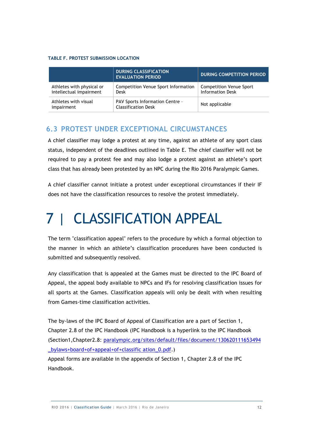#### **TABLE F. PROTEST SUBMISSION LOCATION**

|                                                      | <b>DURING CLASSIFICATION</b><br><b>EVALUATION PERIOD</b>             | <b>DURING COMPETITION PERIOD</b>                          |
|------------------------------------------------------|----------------------------------------------------------------------|-----------------------------------------------------------|
| Athletes with physical or<br>intellectual impairment | Competition Venue Sport Information<br>Desk                          | <b>Competition Venue Sport</b><br><b>Information Desk</b> |
| Athletes with visual<br>impairment                   | <b>PAV Sports Information Centre -</b><br><b>Classification Desk</b> | Not applicable                                            |

#### **6.3 PROTEST UNDER EXCEPTIONAL CIRCUMSTANCES**

A chief classifier may lodge a protest at any time, against an athlete of any sport class status, independent of the deadlines outlined in Table E. The chief classifier will not be required to pay a protest fee and may also lodge a protest against an athlete's sport class that has already been protested by an NPC during the Rio 2016 Paralympic Games.

A chief classifier cannot initiate a protest under exceptional circumstances if their IF does not have the classification resources to resolve the protest immediately.

# 7 | CLASSIFICATION APPEAL

The term "classification appeal" refers to the procedure by which a formal objection to the manner in which an athlete's classification procedures have been conducted is submitted and subsequently resolved.

Any classification that is appealed at the Games must be directed to the IPC Board of Appeal, the appeal body available to NPCs and IFs for resolving classification issues for all sports at the Games. Classification appeals will only be dealt with when resulting from Games-time classification activities.

The by-laws of the IPC Board of Appeal of Classification are a part of Section 1, Chapter 2.8 of the IPC Handbook (IPC Handbook is a hyperlink to the IPC Handbook (Section1,Chapter2.8: paralympic.org/sites/default/files/document/130620111653494 \_bylaws+board+of+appeal+of+classific ation\_0.pdf.)

Appeal forms are available in the appendix of Section 1, Chapter 2.8 of the IPC Handbook.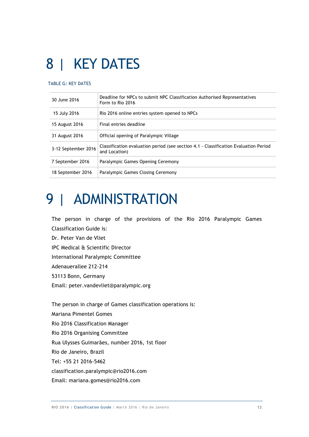# 8 | KEY DATES

#### TABLE G: KEY DATES

| 30 June 2016        | Deadline for NPCs to submit NPC Classification Authorised Representatives<br>Form to Rio 2016         |
|---------------------|-------------------------------------------------------------------------------------------------------|
| 15 July 2016        | Rio 2016 online entries system opened to NPCs                                                         |
| 15 August 2016      | Final entries deadline                                                                                |
| 31 August 2016      | Official opening of Paralympic Village                                                                |
| 3-12 September 2016 | Classification evaluation period (see section 4.1 - Classification Evaluation Period<br>and Location) |
| 7 September 2016    | Paralympic Games Opening Ceremony                                                                     |
| 18 September 2016   | Paralympic Games Closing Ceremony                                                                     |

# 9 | ADMINISTRATION

The person in charge of the provisions of the Rio 2016 Paralympic Games Classification Guide is: Dr. Peter Van de Vliet IPC Medical & Scientific Director International Paralympic Committee Adenauerallee 212-214 53113 Bonn, Germany Email: peter.vandevliet@paralympic.org

The person in charge of Games classification operations is: Mariana Pimentel Gomes Rio 2016 Classification Manager Rio 2016 Organising Committee Rua Ulysses Guimarães, number 2016, 1st floor Rio de Janeiro, Brazil Tel: +55 21 2016-5462 classification.paralympic@rio2016.com Email: mariana.gomes@rio2016.com